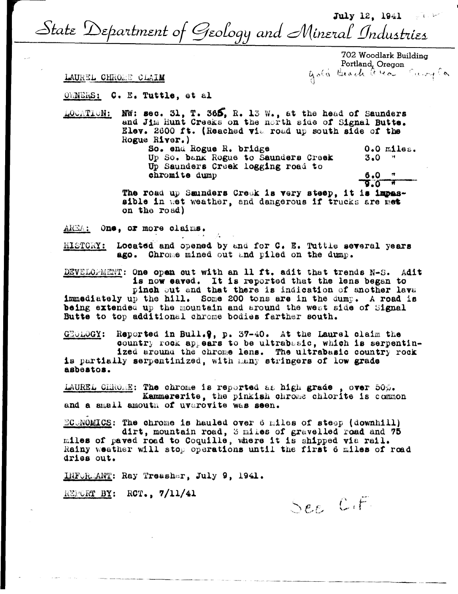July 12, 1941 V State Department of Geology and Mineral Industries

> 702 Woodlark Building gold Brach avec Surge

TAUREL CHROME CLAIM

OWNERS: C. E. Tuttle, et al

NW: sec. 31, T. 365, R. 13 W., at the head of Saunders LOCATION: and Jim Hunt Creaks on the north side of Signal Butte. Elev. 2600 ft. (Reached via road up south side of the Rogue River.)

So. end Rogue R. bridge 0.0 miles. Up So. bank Rogue to Saunders Creek  $3.0$   $*$ Up Saunders Creek logging road to chromite dump  $6.0$ 

**d.**o The road up Saunders Creek is very steep, it is impassible in wet weather, and dangerous if trucks are met on the road)

AREA: One, or more claims.

HISTORY: Located and opened by and for C. E. Tuttle several years ago. Chrome mined out and piled on the dump.

DEVELOPMENT: One open out with an 11 ft. adit that trends N-S. Adit is now eaved. It is reported that the lens began to pinch out and that there is indication of another lava immediately up the hill. Some 200 tons are in the dump. A road is being extended up the mountain and around the west side of Signal Butte to top additional chrome bodies farther south.

GEOLOGY: Reported in Bull. 9, p. 37-40. At the Laurel claim the country rock appears to be ultrabasic, which is serpentinized around the chrome lens. The ultrabasic country rock is partially serpentinized, with many stringers of low grade asbestos.

LAUREL CHROME: The chrome is reported as high grade, over 50%. Kammererite, the pinkish chrome chlorite is common and a small amouth of uvarovite was seen.

ECUNOMICS: The chrome is hauled over 6 miles of steep (downhill) dirt, mountain road, 3 miles of gravelled road and 75 miles of paved road to Coquille, where it is shipped via rail. Rainy weather will stop operations until the first 6 miles of road dries out.

INFORMANT: Ray Treasher, July 9, 1941.

REPORT BY: RCT., 7/11/41

See CIF